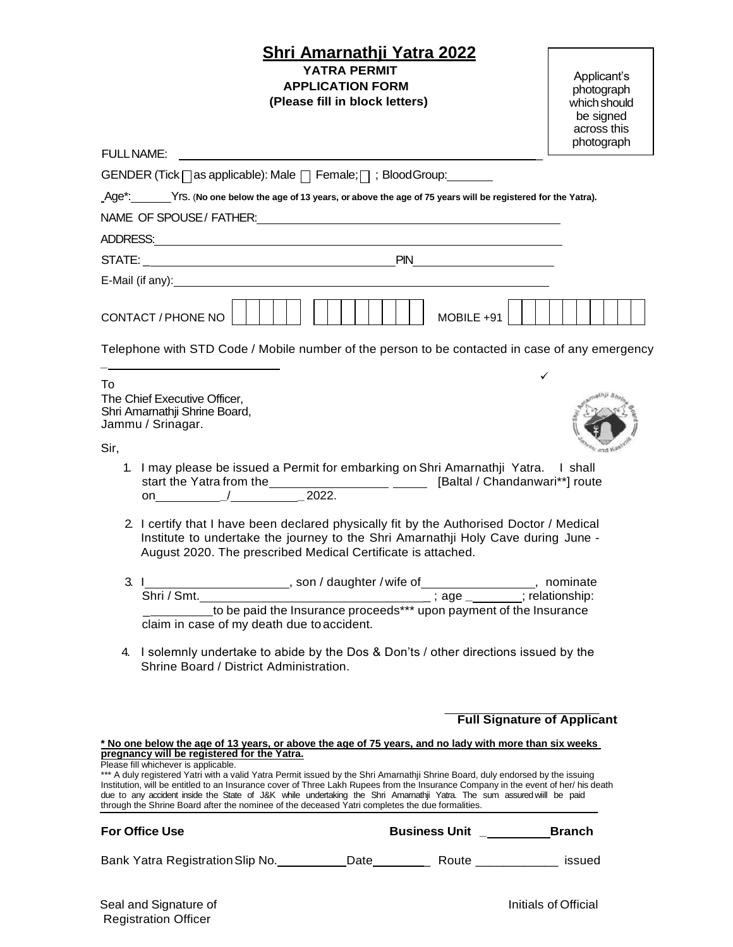## **Shri Amarnathji Yatra 2022 YATRA PERMIT APPLICATION FORM (Please fill in block letters)**

| Applicant's  |
|--------------|
| photograph   |
| which should |
| be signed    |
| across this  |
| photograph   |

| <b>FULL NAME:</b><br>GENDER (Tick <sub> </sub> as applicable): Male   Female;   ; Blood Group: _______<br>MOBILE +91<br>1. I may please be issued a Permit for embarking on Shri Amarnathji Yatra. I shall                                                                                                                                                                                                                                                                                                                              |                                    |
|-----------------------------------------------------------------------------------------------------------------------------------------------------------------------------------------------------------------------------------------------------------------------------------------------------------------------------------------------------------------------------------------------------------------------------------------------------------------------------------------------------------------------------------------|------------------------------------|
| _Age*: Yrs. (No one below the age of 13 years, or above the age of 75 years will be registered for the Yatra).                                                                                                                                                                                                                                                                                                                                                                                                                          |                                    |
| NAME OF SPOUSE/FATHER: NAME OF SPOUSE AT A STATE AND THE STATE OF SPOUSE AT A STATE OF STATE AND THE STATE OF STATE OF STATE AND THE STATE OF STATE OF STATE AND THE STATE OF STATE OF STATE OF STATE OF STATE OF STATE OF STA<br>$E$ -Mail (if any): $\blacksquare$<br>CONTACT / PHONE NO<br>Telephone with STD Code / Mobile number of the person to be contacted in case of any emergency<br>To<br>The Chief Executive Officer,<br>Shri Amarnathji Shrine Board,<br>Jammu / Srinagar.<br>Sir,                                        |                                    |
|                                                                                                                                                                                                                                                                                                                                                                                                                                                                                                                                         |                                    |
|                                                                                                                                                                                                                                                                                                                                                                                                                                                                                                                                         |                                    |
|                                                                                                                                                                                                                                                                                                                                                                                                                                                                                                                                         |                                    |
|                                                                                                                                                                                                                                                                                                                                                                                                                                                                                                                                         |                                    |
|                                                                                                                                                                                                                                                                                                                                                                                                                                                                                                                                         |                                    |
|                                                                                                                                                                                                                                                                                                                                                                                                                                                                                                                                         |                                    |
|                                                                                                                                                                                                                                                                                                                                                                                                                                                                                                                                         |                                    |
|                                                                                                                                                                                                                                                                                                                                                                                                                                                                                                                                         |                                    |
| 2. I certify that I have been declared physically fit by the Authorised Doctor / Medical<br>Institute to undertake the journey to the Shri Amarnathji Holy Cave during June -<br>August 2020. The prescribed Medical Certificate is attached.                                                                                                                                                                                                                                                                                           |                                    |
| 3.<br>$\mathbf{1}$ and $\mathbf{1}$<br>to be paid the Insurance proceeds*** upon payment of the Insurance<br>claim in case of my death due to accident.                                                                                                                                                                                                                                                                                                                                                                                 |                                    |
| I solemnly undertake to abide by the Dos & Don'ts / other directions issued by the<br>4.<br>Shrine Board / District Administration.                                                                                                                                                                                                                                                                                                                                                                                                     |                                    |
|                                                                                                                                                                                                                                                                                                                                                                                                                                                                                                                                         | <b>Full Signature of Applicant</b> |
| <u>* No one below the age of 13 years, or above the age of 75 years, and no lady with more than six weeks </u><br>pregnancy will be registered for the Yatra.                                                                                                                                                                                                                                                                                                                                                                           |                                    |
| Please fill whichever is applicable.<br>*** A duly registered Yatri with a valid Yatra Permit issued by the Shri Amarnathji Shrine Board, duly endorsed by the issuing<br>Institution, will be entitled to an Insurance cover of Three Lakh Rupees from the Insurance Company in the event of her/ his death<br>due to any accident inside the State of J&K while undertaking the Shri Amamathji Yatra. The sum assuredwiill be paid<br>through the Shrine Board after the nominee of the deceased Yatri completes the due formalities. |                                    |
| <b>For Office Use</b>                                                                                                                                                                                                                                                                                                                                                                                                                                                                                                                   |                                    |
|                                                                                                                                                                                                                                                                                                                                                                                                                                                                                                                                         |                                    |